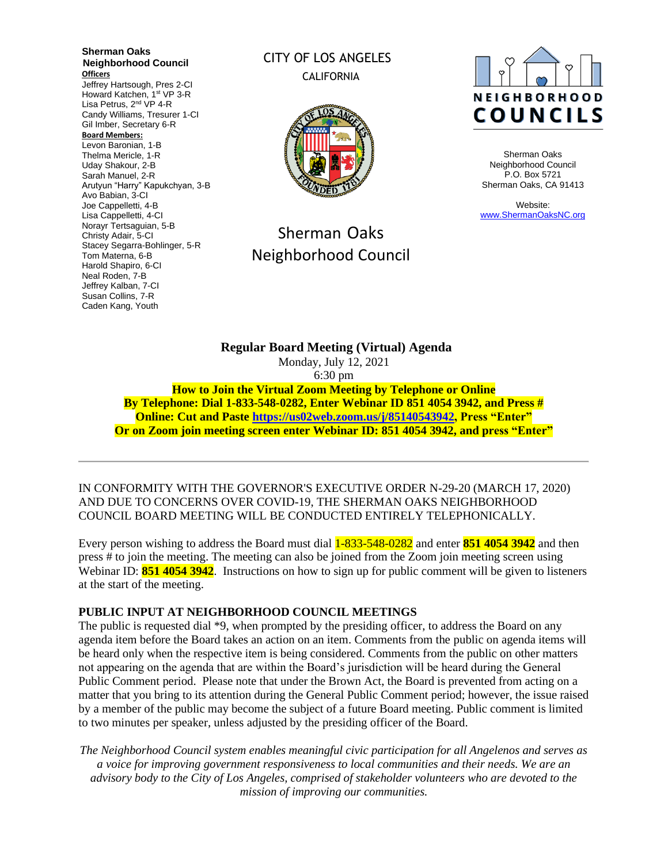**Sherman Oaks Neighborhood Council Officers**

Jeffrey Hartsough, Pres 2-CI Howard Katchen, 1st VP 3-R Lisa Petrus, 2<sup>nd</sup> VP 4-R Candy Williams, Tresurer 1-CI Gil Imber, Secretary 6-R

#### **Board Members:**

Levon Baronian, 1-B Thelma Mericle, 1-R Uday Shakour, 2-B Sarah Manuel, 2-R Arutyun "Harry" Kapukchyan, 3-B Avo Babian, 3-CI Joe Cappelletti, 4-B Lisa Cappelletti, 4-CI Norayr Tertsaguian, 5-B Christy Adair, 5-CI Stacey Segarra-Bohlinger, 5-R Tom Materna, 6-B Harold Shapiro, 6-CI Neal Roden, 7-B Jeffrey Kalban, 7-CI Susan Collins, 7-R Caden Kang, Youth

# CITY OF LOS ANGELES CALIFORNIA



# Sherman Oaks Neighborhood Council



Sherman Oaks Neighborhood Council P.O. Box 5721 Sherman Oaks, CA 91413

Website: [www.ShermanOaksNC.org](http://www.shermanoaksnc.org/)

**Regular Board Meeting (Virtual) Agenda**  Monday, July 12, 2021 6:30 pm **How to Join the Virtual Zoom Meeting by Telephone or Online**

**By Telephone: Dial 1-833-548-0282, Enter Webinar ID 851 4054 3942, and Press # Online: Cut and Paste [https://us02web.zoom.us/j/85140543942,](https://us02web.zoom.us/j/85140543942) Press "Enter" Or on Zoom join meeting screen enter Webinar ID: 851 4054 3942, and press "Enter"**

IN CONFORMITY WITH THE GOVERNOR'S EXECUTIVE ORDER N-29-20 (MARCH 17, 2020) AND DUE TO CONCERNS OVER COVID-19, THE SHERMAN OAKS NEIGHBORHOOD COUNCIL BOARD MEETING WILL BE CONDUCTED ENTIRELY TELEPHONICALLY.

Every person wishing to address the Board must dial 1-833-548-0282 and enter **851 4054 3942** and then press # to join the meeting. The meeting can also be joined from the Zoom join meeting screen using Webinar ID: **851 4054 3942**. Instructions on how to sign up for public comment will be given to listeners at the start of the meeting.

#### **PUBLIC INPUT AT NEIGHBORHOOD COUNCIL MEETINGS**

The public is requested dial \*9, when prompted by the presiding officer, to address the Board on any agenda item before the Board takes an action on an item. Comments from the public on agenda items will be heard only when the respective item is being considered. Comments from the public on other matters not appearing on the agenda that are within the Board's jurisdiction will be heard during the General Public Comment period. Please note that under the Brown Act, the Board is prevented from acting on a matter that you bring to its attention during the General Public Comment period; however, the issue raised by a member of the public may become the subject of a future Board meeting. Public comment is limited to two minutes per speaker, unless adjusted by the presiding officer of the Board.

*The Neighborhood Council system enables meaningful civic participation for all Angelenos and serves as a voice for improving government responsiveness to local communities and their needs. We are an advisory body to the City of Los Angeles, comprised of stakeholder volunteers who are devoted to the mission of improving our communities.*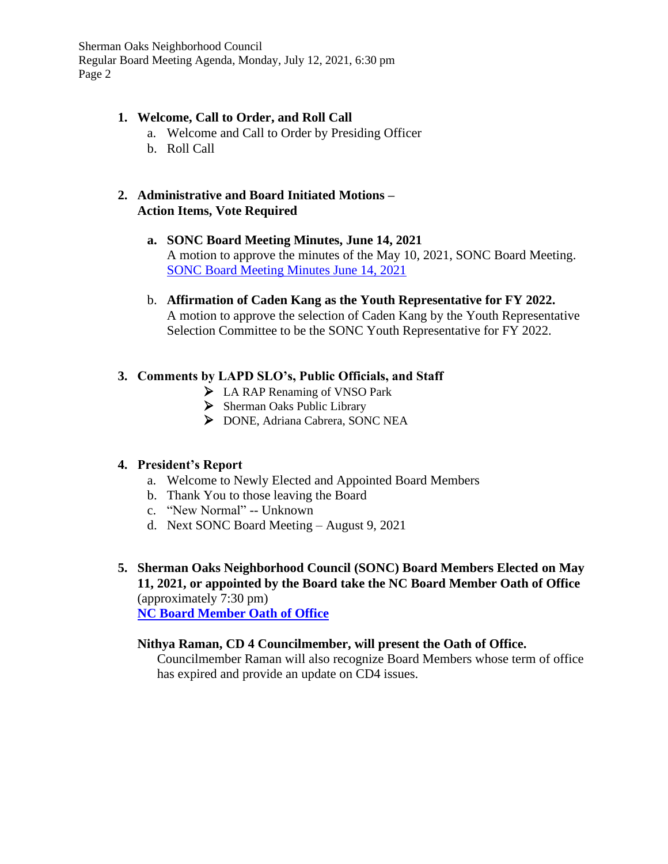Sherman Oaks Neighborhood Council Regular Board Meeting Agenda, Monday, July 12, 2021, 6:30 pm Page 2

#### **1. Welcome, Call to Order, and Roll Call**

- a. Welcome and Call to Order by Presiding Officer
- b. Roll Call

#### **2. Administrative and Board Initiated Motions – Action Items, Vote Required**

- **a. SONC Board Meeting Minutes, June 14, 2021** A motion to approve the minutes of the May 10, 2021, SONC Board Meeting. [SONC Board Meeting Minutes June 14, 2021](https://www.shermanoaksnc.org/ncfiles/viewCommitteeFile/21360)
- b. **Affirmation of Caden Kang as the Youth Representative for FY 2022.** A motion to approve the selection of Caden Kang by the Youth Representative Selection Committee to be the SONC Youth Representative for FY 2022.

# **3. Comments by LAPD SLO's, Public Officials, and Staff**

- ➢ LA RAP Renaming of VNSO Park
- ➢ Sherman Oaks Public Library
- ➢ DONE, Adriana Cabrera, SONC NEA

# **4. President's Report**

- a. Welcome to Newly Elected and Appointed Board Members
- b. Thank You to those leaving the Board
- c. "New Normal" -- Unknown
- d. Next SONC Board Meeting August 9, 2021
- **5. Sherman Oaks Neighborhood Council (SONC) Board Members Elected on May 11, 2021, or appointed by the Board take the NC Board Member Oath of Office**  (approximately 7:30 pm) **[NC Board Member Oath of Office](https://www.shermanoaksnc.org/ncfiles/viewCommitteeFile/21372)**

#### **Nithya Raman, CD 4 Councilmember, will present the Oath of Office.**

Councilmember Raman will also recognize Board Members whose term of office has expired and provide an update on CD4 issues.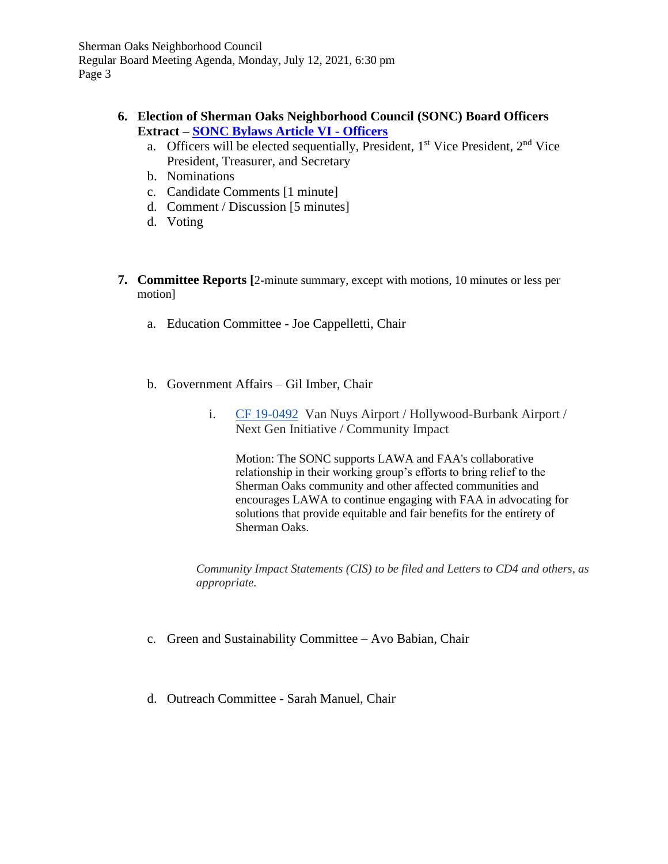Sherman Oaks Neighborhood Council Regular Board Meeting Agenda, Monday, July 12, 2021, 6:30 pm Page 3

#### **6. Election of Sherman Oaks Neighborhood Council (SONC) Board Officers Extract – [SONC Bylaws Article VI -](https://www.shermanoaksnc.org/ncfiles/viewCommitteeFile/21374) Officers**

- a. Officers will be elected sequentially, President,  $1<sup>st</sup>$  Vice President,  $2<sup>nd</sup>$  Vice President, Treasurer, and Secretary
- b. Nominations
- c. Candidate Comments [1 minute]
- d. Comment / Discussion [5 minutes]
- d. Voting
- **7. Committee Reports [**2-minute summary, except with motions, 10 minutes or less per motion]
	- a. Education Committee Joe Cappelletti, Chair
	- b. Government Affairs Gil Imber, Chair
		- i. [CF 19-0492](https://cityclerk.lacity.org/lacityclerkconnect/index.cfm?fa=ccfi.viewrecord&cfnumber=19-0492) Van Nuys Airport / Hollywood-Burbank Airport / Next Gen Initiative / Community Impact

Motion: The SONC supports LAWA and FAA's collaborative relationship in their working group's efforts to bring relief to the Sherman Oaks community and other affected communities and encourages LAWA to continue engaging with FAA in advocating for solutions that provide equitable and fair benefits for the entirety of Sherman Oaks.

*Community Impact Statements (CIS) to be filed and Letters to CD4 and others, as appropriate.*

- c. Green and Sustainability Committee Avo Babian, Chair
- d. Outreach Committee Sarah Manuel, Chair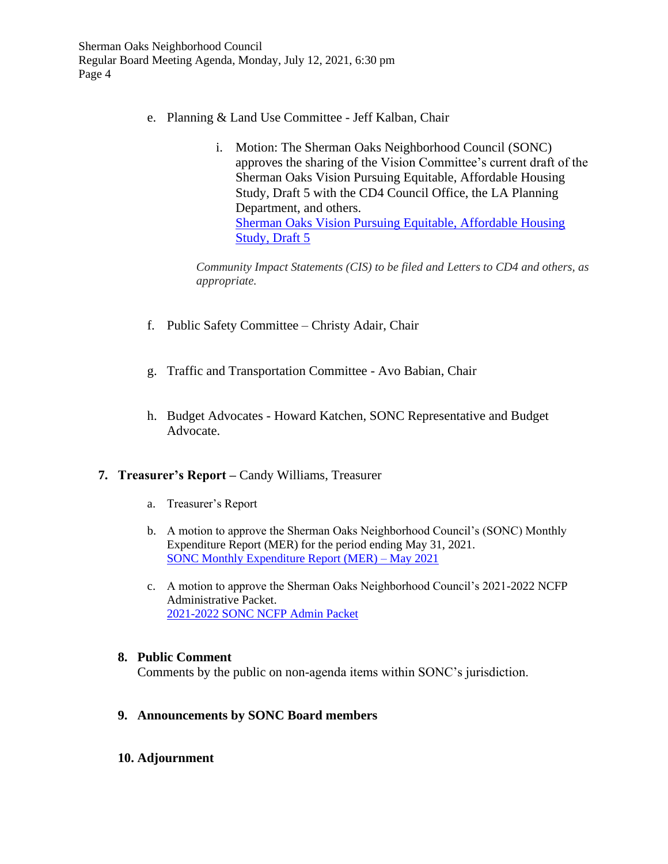- e. Planning & Land Use Committee Jeff Kalban, Chair
	- i. Motion: The Sherman Oaks Neighborhood Council (SONC) approves the sharing of the Vision Committee's current draft of the Sherman Oaks Vision Pursuing Equitable, Affordable Housing Study, Draft 5 with the CD4 Council Office, the LA Planning Department, and others. [Sherman Oaks Vision Pursuing Equitable, Affordable Housing](https://www.shermanoaksnc.org/ncfiles/viewCommitteeFile/21370) [Study, Draft 5](https://www.shermanoaksnc.org/ncfiles/viewCommitteeFile/21370)

*Community Impact Statements (CIS) to be filed and Letters to CD4 and others, as appropriate.*

- f. Public Safety Committee Christy Adair, Chair
- g. Traffic and Transportation Committee Avo Babian, Chair
- h. Budget Advocates Howard Katchen, SONC Representative and Budget Advocate.

#### **7. Treasurer's Report –** Candy Williams, Treasurer

- a. Treasurer's Report
- b. A motion to approve the Sherman Oaks Neighborhood Council's (SONC) Monthly Expenditure Report (MER) for the period ending May 31, 2021. [SONC Monthly Expenditure Report](https://www.shermanoaksnc.org/ncfiles/viewCommitteeFile/21368) (MER) – May 2021
- c. A motion to approve the Sherman Oaks Neighborhood Council's 2021-2022 NCFP Administrative Packet. [2021-2022 SONC NCFP Admin Packet](https://www.shermanoaksnc.org/ncfiles/viewCommitteeFile/21369)

#### **8. Public Comment**

Comments by the public on non-agenda items within SONC's jurisdiction.

#### **9. Announcements by SONC Board members**

#### **10. Adjournment**